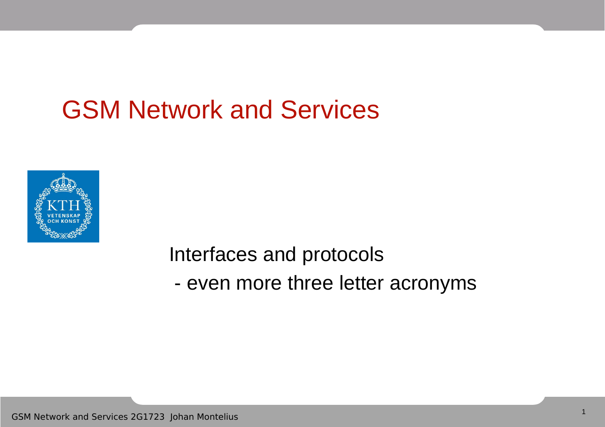### GSM Network and Services



Interfaces and protocols - even more three letter acronyms

GSM Network and Services 2G1723 Johan Montelius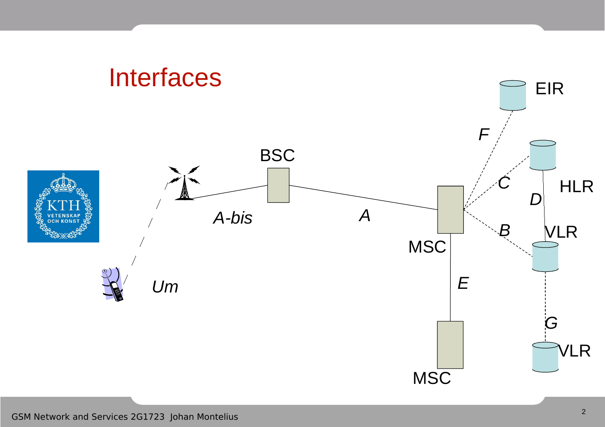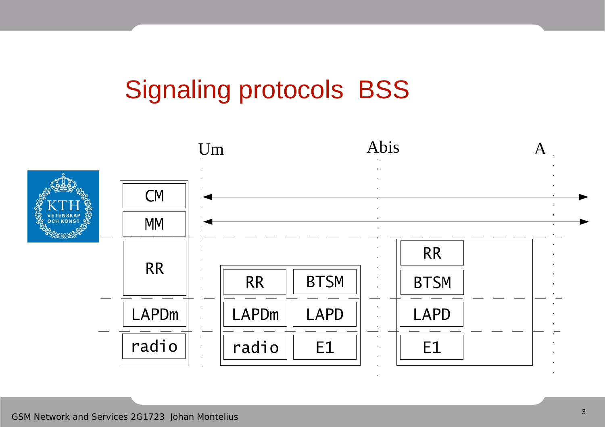### Signaling protocols BSS

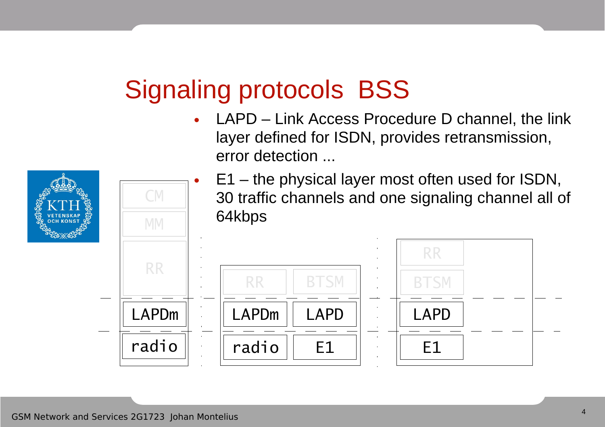### GSM Network and Services 2G1723 Johan Montelius

CM

### Signaling protocols BSS

- LAPD Link Access Procedure D channel, the link layer defined for ISDN, provides retransmission, error detection ...
	- E1 the physical layer most often used for ISDN, 30 traffic channels and one signaling channel all of 64kbps

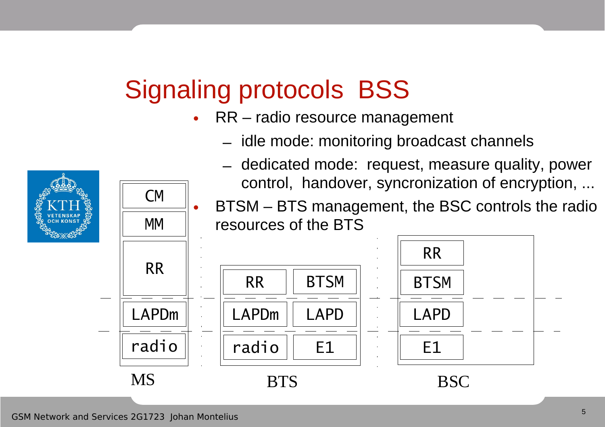### Signaling protocols BSS

- RR radio resource management
	- idle mode: monitoring broadcast channels



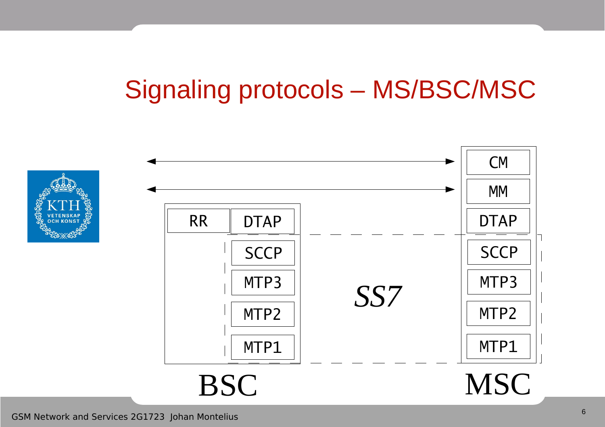# Signaling protocols – MS/BSC/MSC

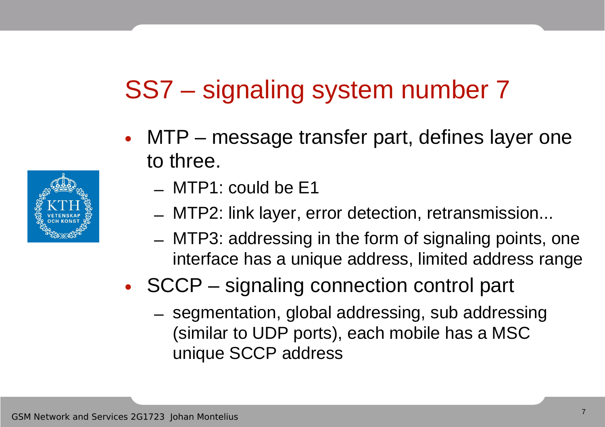### SS7 – signaling system number 7

- MTP message transfer part, defines layer one to three.
	- MTP1: could be E1
	- MTP2: link layer, error detection, retransmission...
	- MTP3: addressing in the form of signaling points, one interface has a unique address, limited address range

### • SCCP – signaling connection control part

– segmentation, global addressing, sub addressing (similar to UDP ports), each mobile has a MSC unique SCCP address

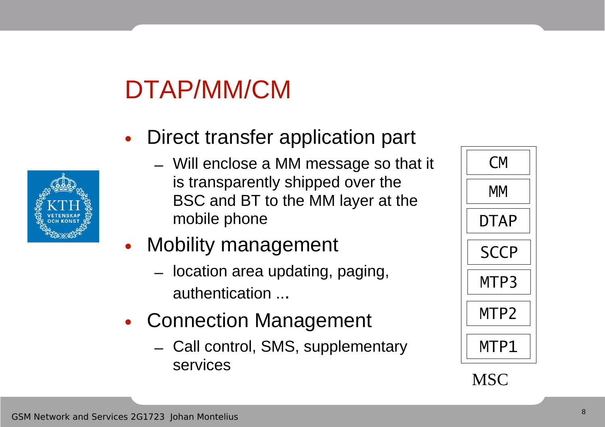# DTAP/MM/CM

- Direct transfer application part
	- Will enclose a MM message so that it is transparently shipped over the BSC and BT to the MM layer at the mobile phone
- **Mobility management** 
	- location area updating, paging, authentication ...
- Connection Management
	- Call control, SMS, supplementary services



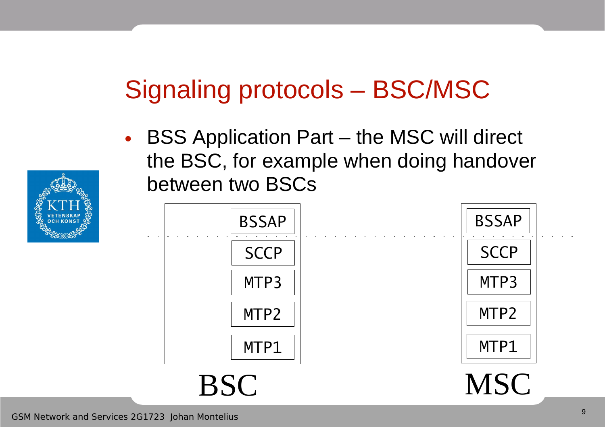### Signaling protocols – BSC/MSC

• BSS Application Part – the MSC will direct the BSC, for example when doing handover between two BSCs



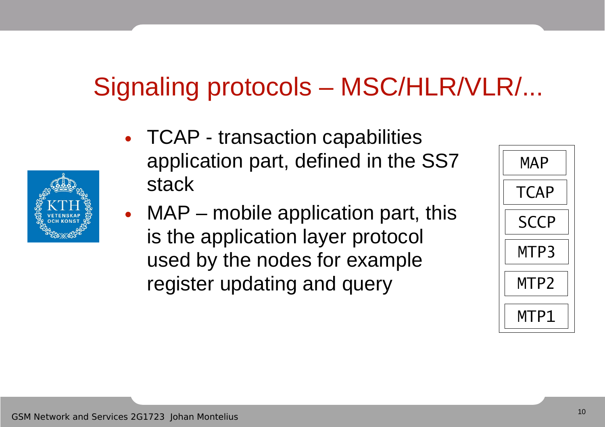### Signaling protocols – MSC/HLR/VLR/...

- TCAP transaction capabilities application part, defined in the SS7 stack
- MAP mobile application part, this is the application layer protocol used by the nodes for example register updating and query



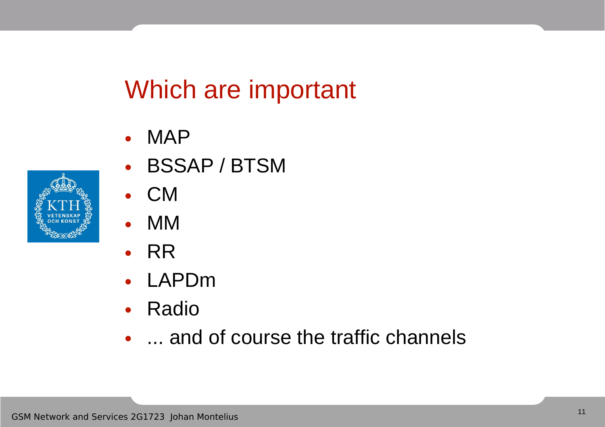### Which are important

- MAP
- BSSAP / BTSM
- CM
- MM
- RR
- LAPDm
- Radio
- ... and of course the traffic channels

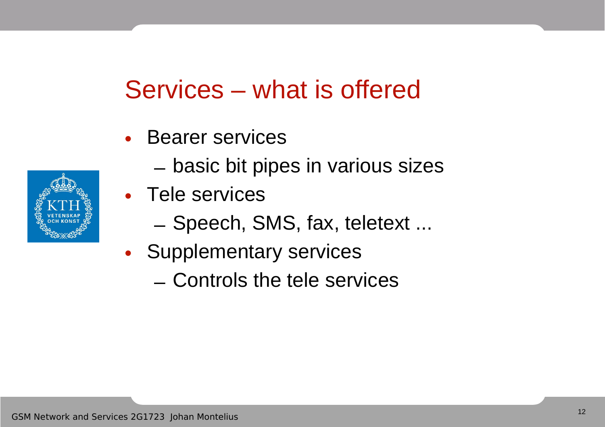### Services – what is offered

- Bearer services
	- basic bit pipes in various sizes
- Tele services
	- Speech, SMS, fax, teletext ...
- Supplementary services
	- Controls the tele services

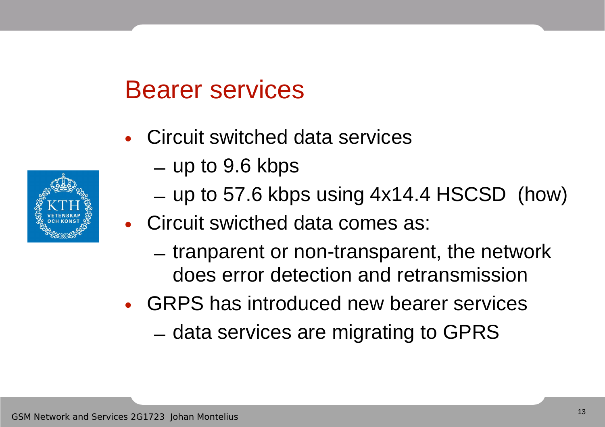### Bearer services

- Circuit switched data services
	- up to 9.6 kbps
	- up to 57.6 kbps using 4x14.4 HSCSD (how)
- Circuit swicthed data comes as:
	- tranparent or non-transparent, the network does error detection and retransmission
- GRPS has introduced new bearer services
	- data services are migrating to GPRS

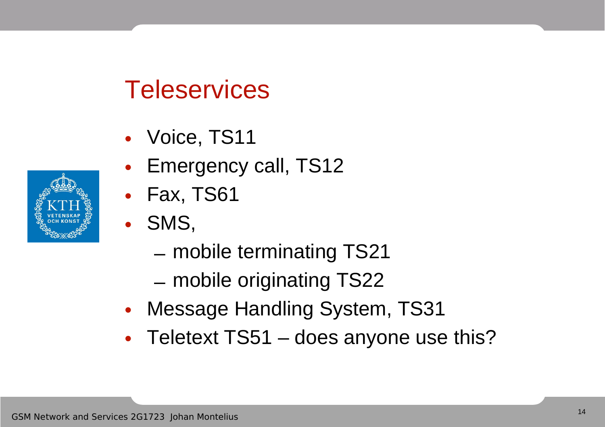### **Teleservices**

- Voice, TS11
- Emergency call, TS12
- Fax, TS61
- SMS,
	- mobile terminating TS21
	- mobile originating TS22
- Message Handling System, TS31
- Teletext TS51 does anyone use this?

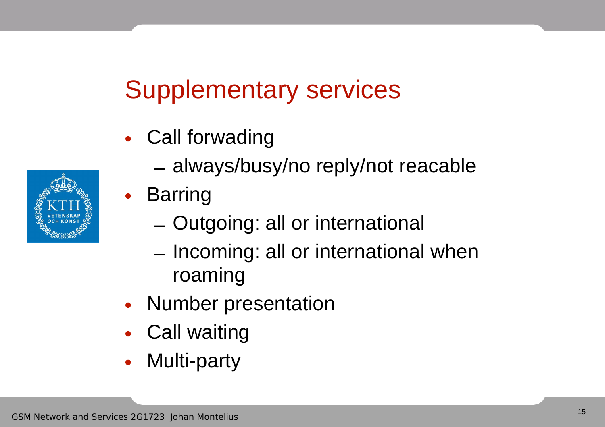### Supplementary services

- Call forwading
	- always/busy/no reply/not reacable
- Barring
	- Outgoing: all or international
	- Incoming: all or international when roaming
- Number presentation
- Call waiting
- Multi-party